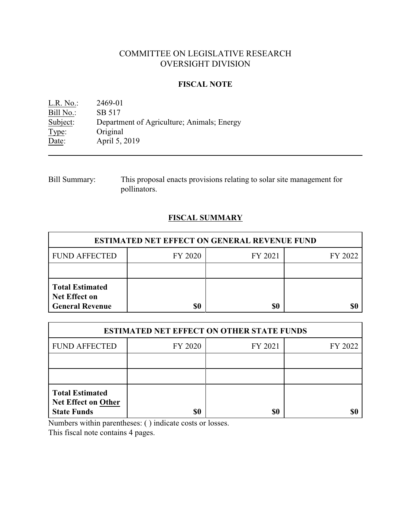# COMMITTEE ON LEGISLATIVE RESEARCH OVERSIGHT DIVISION

### **FISCAL NOTE**

L.R. No.: 2469-01 Bill No.: SB 517<br>Subject: Departm Department of Agriculture; Animals; Energy Type: Original<br>Date: April 5, 2 April 5, 2019

Bill Summary: This proposal enacts provisions relating to solar site management for pollinators.

## **FISCAL SUMMARY**

| <b>ESTIMATED NET EFFECT ON GENERAL REVENUE FUND</b>                      |         |         |         |  |
|--------------------------------------------------------------------------|---------|---------|---------|--|
| <b>FUND AFFECTED</b>                                                     | FY 2020 | FY 2021 | FY 2022 |  |
|                                                                          |         |         |         |  |
| <b>Total Estimated</b><br><b>Net Effect on</b><br><b>General Revenue</b> | \$0     | \$0     |         |  |

| <b>ESTIMATED NET EFFECT ON OTHER STATE FUNDS</b>                           |         |         |         |  |
|----------------------------------------------------------------------------|---------|---------|---------|--|
| <b>FUND AFFECTED</b>                                                       | FY 2020 | FY 2021 | FY 2022 |  |
|                                                                            |         |         |         |  |
|                                                                            |         |         |         |  |
| <b>Total Estimated</b><br><b>Net Effect on Other</b><br><b>State Funds</b> | \$0     | \$0     |         |  |

Numbers within parentheses: ( ) indicate costs or losses.

This fiscal note contains 4 pages.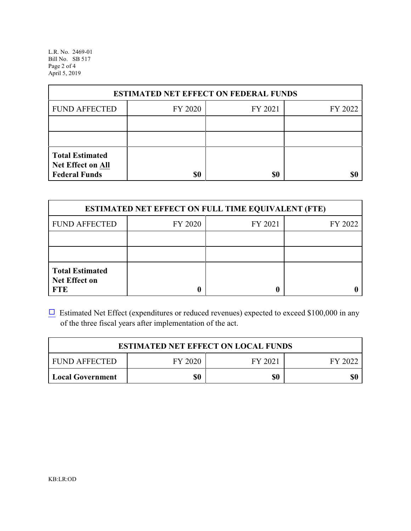L.R. No. 2469-01 Bill No. SB 517 Page 2 of 4 April 5, 2019

| <b>ESTIMATED NET EFFECT ON FEDERAL FUNDS</b>                        |         |         |         |  |
|---------------------------------------------------------------------|---------|---------|---------|--|
| <b>FUND AFFECTED</b>                                                | FY 2020 | FY 2021 | FY 2022 |  |
|                                                                     |         |         |         |  |
|                                                                     |         |         |         |  |
| <b>Total Estimated</b><br>Net Effect on All<br><b>Federal Funds</b> | \$0     | \$0     |         |  |

| <b>ESTIMATED NET EFFECT ON FULL TIME EQUIVALENT (FTE)</b>    |         |         |         |  |
|--------------------------------------------------------------|---------|---------|---------|--|
| <b>FUND AFFECTED</b>                                         | FY 2020 | FY 2021 | FY 2022 |  |
|                                                              |         |         |         |  |
|                                                              |         |         |         |  |
| <b>Total Estimated</b><br><b>Net Effect on</b><br><b>FTE</b> |         |         |         |  |

 $\Box$  Estimated Net Effect (expenditures or reduced revenues) expected to exceed \$100,000 in any of the three fiscal years after implementation of the act.

| <b>ESTIMATED NET EFFECT ON LOCAL FUNDS</b> |         |         |         |  |
|--------------------------------------------|---------|---------|---------|--|
| <b>FUND AFFECTED</b>                       | FY 2020 | FY 2021 | FY 2022 |  |
| <b>Local Government</b>                    | \$0     | \$0     | \$0     |  |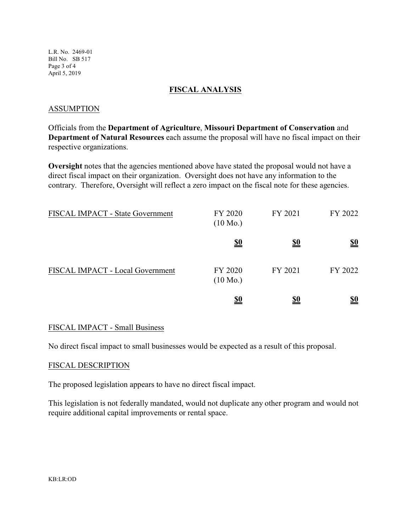L.R. No. 2469-01 Bill No. SB 517 Page 3 of 4 April 5, 2019

#### **FISCAL ANALYSIS**

#### ASSUMPTION

Officials from the **Department of Agriculture**, **Missouri Department of Conservation** and **Department of Natural Resources** each assume the proposal will have no fiscal impact on their respective organizations.

**Oversight** notes that the agencies mentioned above have stated the proposal would not have a direct fiscal impact on their organization. Oversight does not have any information to the contrary. Therefore, Oversight will reflect a zero impact on the fiscal note for these agencies.

| FISCAL IMPACT - State Government | FY 2020<br>$(10 \text{ Mo.})$ | FY 2021    | FY 2022       |
|----------------------------------|-------------------------------|------------|---------------|
|                                  | <u>\$0</u>                    | <u>\$0</u> | <u>\$0</u>    |
| FISCAL IMPACT - Local Government | FY 2020<br>$(10 \text{ Mo.})$ | FY 2021    | FY 2022       |
|                                  | <u>\$0</u>                    | <u>\$0</u> | $\frac{$0}{}$ |

### FISCAL IMPACT - Small Business

No direct fiscal impact to small businesses would be expected as a result of this proposal.

#### FISCAL DESCRIPTION

The proposed legislation appears to have no direct fiscal impact.

This legislation is not federally mandated, would not duplicate any other program and would not require additional capital improvements or rental space.